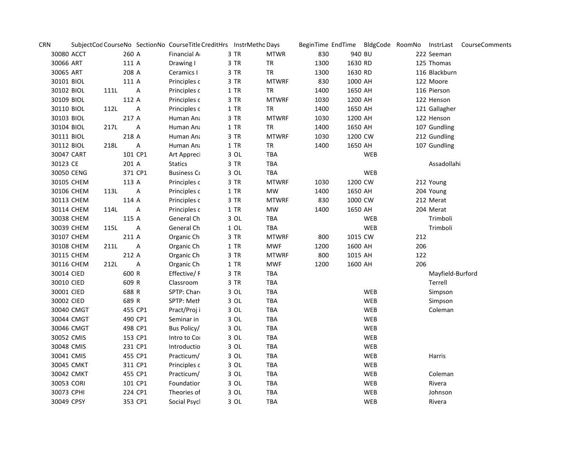| <b>CRN</b> |            |      |         |         | SubjectCod CourseNo SectionNo CourseTitle CreditHrs InstrMetho Days |        |              |      |         |            |     |                  | BeginTime EndTime BldgCode RoomNo InstrLast CourseComments |
|------------|------------|------|---------|---------|---------------------------------------------------------------------|--------|--------------|------|---------|------------|-----|------------------|------------------------------------------------------------|
| 30080 ACCT |            |      | 260 A   |         | Financial A                                                         | 3 TR   | <b>MTWR</b>  | 830  | 940 BU  |            |     | 222 Seeman       |                                                            |
| 30066 ART  |            |      | 111 A   |         | Drawing I                                                           | 3 TR   | <b>TR</b>    | 1300 | 1630 RD |            |     | 125 Thomas       |                                                            |
| 30065 ART  |            |      | 208 A   |         | Ceramics I                                                          | 3 TR   | TR           | 1300 | 1630 RD |            |     | 116 Blackburn    |                                                            |
| 30101 BIOL |            |      | 111 A   |         | Principles c                                                        | 3 TR   | <b>MTWRF</b> | 830  | 1000 AH |            |     | 122 Moore        |                                                            |
| 30102 BIOL |            | 111L |         | Α       | Principles c                                                        | $1$ TR | <b>TR</b>    | 1400 | 1650 AH |            |     | 116 Pierson      |                                                            |
| 30109 BIOL |            |      | 112 A   |         | Principles c                                                        | 3 TR   | <b>MTWRF</b> | 1030 | 1200 AH |            |     | 122 Henson       |                                                            |
| 30110 BIOL |            | 112L |         | А       | Principles c                                                        | $1$ TR | <b>TR</b>    | 1400 | 1650 AH |            |     | 121 Gallagher    |                                                            |
| 30103 BIOL |            |      | 217 A   |         | Human Ana                                                           | 3 TR   | <b>MTWRF</b> | 1030 | 1200 AH |            |     | 122 Henson       |                                                            |
| 30104 BIOL |            | 217L |         | А       | Human Ana                                                           | 1 TR   | TR           | 1400 | 1650 AH |            |     | 107 Gundling     |                                                            |
| 30111 BIOL |            |      | 218 A   |         | Human Ana                                                           | 3 TR   | <b>MTWRF</b> | 1030 | 1200 CW |            |     | 212 Gundling     |                                                            |
| 30112 BIOL |            | 218L |         | Α       | Human Ana                                                           | 1 TR   | <b>TR</b>    | 1400 | 1650 AH |            |     | 107 Gundling     |                                                            |
| 30047 CART |            |      | 101 CP1 |         | Art Appreci                                                         | 3 OL   | TBA          |      |         | <b>WEB</b> |     |                  |                                                            |
| 30123 CE   |            |      | 201 A   |         | Statics                                                             | 3 TR   | TBA          |      |         |            |     | Assadollahi      |                                                            |
| 30050 CENG |            |      | 371 CP1 |         | <b>Business Co</b>                                                  | 3 OL   | TBA          |      |         | <b>WEB</b> |     |                  |                                                            |
|            | 30105 CHEM |      | 113 A   |         | Principles c                                                        | 3 TR   | <b>MTWRF</b> | 1030 | 1200 CW |            |     | 212 Young        |                                                            |
|            | 30106 CHEM | 113L |         | A       | Principles c                                                        | $1$ TR | MW           | 1400 | 1650 AH |            |     | 204 Young        |                                                            |
|            | 30113 CHEM |      | 114 A   |         | Principles c                                                        | 3 TR   | <b>MTWRF</b> | 830  | 1000 CW |            |     | 212 Merat        |                                                            |
|            | 30114 CHEM | 114L |         | A       | Principles c                                                        | $1$ TR | MW           | 1400 | 1650 AH |            |     | 204 Merat        |                                                            |
|            | 30038 CHEM |      | 115 A   |         | General Ch                                                          | 3 OL   | TBA          |      |         | WEB        |     | Trimboli         |                                                            |
|            | 30039 CHEM | 115L |         | Α       | General Ch                                                          | $1$ OL | TBA          |      |         | WEB        |     | Trimboli         |                                                            |
|            | 30107 CHEM |      | 211 A   |         | Organic Ch                                                          | 3 TR   | <b>MTWRF</b> | 800  | 1015 CW |            | 212 |                  |                                                            |
| 30108 CHEM |            | 211L |         | Α       | Organic Ch                                                          | 1 TR   | <b>MWF</b>   | 1200 | 1600 AH |            | 206 |                  |                                                            |
|            | 30115 CHEM |      | 212 A   |         | Organic Ch                                                          | 3 TR   | <b>MTWRF</b> | 800  | 1015 AH |            | 122 |                  |                                                            |
|            | 30116 CHEM | 212L |         | Α       | Organic Ch                                                          | $1$ TR | <b>MWF</b>   | 1200 | 1600 AH |            | 206 |                  |                                                            |
| 30014 CIED |            |      | 600 R   |         | Effective/F                                                         | 3 TR   | TBA          |      |         |            |     | Mayfield-Burford |                                                            |
| 30010 CIED |            |      | 609 R   |         | Classroom                                                           | 3 TR   | TBA          |      |         |            |     | Terrell          |                                                            |
| 30001 CIED |            |      | 688 R   |         | SPTP: Chard                                                         | 3 OL   | TBA          |      |         | WEB        |     | Simpson          |                                                            |
| 30002 CIED |            |      | 689 R   |         | SPTP: Meth                                                          | 3 OL   | TBA          |      |         | WEB        |     | Simpson          |                                                            |
|            | 30040 CMGT |      | 455 CP1 |         | Pract/Proj i                                                        | 3 OL   | TBA          |      |         | WEB        |     | Coleman          |                                                            |
|            | 30044 CMGT |      |         | 490 CP1 | Seminar in                                                          | 3 OL   | TBA          |      |         | WEB        |     |                  |                                                            |
|            | 30046 CMGT |      | 498 CP1 |         | Bus Policy/                                                         | $3$ OL | TBA          |      |         | WEB        |     |                  |                                                            |
| 30052 CMIS |            |      | 153 CP1 |         | Intro to Cor                                                        | $3$ OL | TBA          |      |         | WEB        |     |                  |                                                            |
| 30048 CMIS |            |      | 231 CP1 |         | Introductio                                                         | 3 OL   | TBA          |      |         | WEB        |     |                  |                                                            |
| 30041 CMIS |            |      |         | 455 CP1 | Practicum/                                                          | 3 OL   | TBA          |      |         | WEB        |     | Harris           |                                                            |
|            | 30045 CMKT |      |         | 311 CP1 | Principles c                                                        | 3 OL   | TBA          |      |         | WEB        |     |                  |                                                            |
|            | 30042 CMKT |      |         | 455 CP1 | Practicum/                                                          | 3 OL   | <b>TBA</b>   |      |         | WEB        |     | Coleman          |                                                            |
| 30053 CORI |            |      | 101 CP1 |         | Foundation                                                          | 3 OL   | TBA          |      |         | WEB        |     | Rivera           |                                                            |
| 30073 CPHI |            |      | 224 CP1 |         | Theories of                                                         | 3 OL   | TBA          |      |         | WEB        |     | Johnson          |                                                            |
| 30049 CPSY |            |      | 353 CP1 |         | Social Psycl                                                        | 3 OL   | TBA          |      |         | <b>WEB</b> |     | Rivera           |                                                            |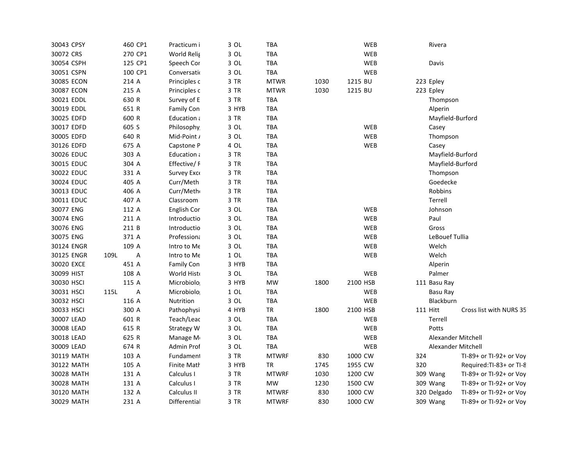| 30043 CPSY |      | 460 CP1 | Practicum i  | 3 OL   | TBA          |      |          | <b>WEB</b> |     | Rivera             |                         |
|------------|------|---------|--------------|--------|--------------|------|----------|------------|-----|--------------------|-------------------------|
| 30072 CRS  |      | 270 CP1 | World Relig  | 3 OL   | TBA          |      |          | WEB        |     |                    |                         |
| 30054 CSPH |      | 125 CP1 | Speech Cor   | 3 OL   | TBA          |      |          | WEB        |     | Davis              |                         |
| 30051 CSPN |      | 100 CP1 | Conversatio  | 3 OL   | TBA          |      |          | WEB        |     |                    |                         |
| 30085 ECON |      | 214 A   | Principles c | 3 TR   | <b>MTWR</b>  | 1030 | 1215 BU  |            |     | 223 Epley          |                         |
| 30087 ECON |      | 215 A   | Principles c | 3 TR   | <b>MTWR</b>  | 1030 | 1215 BU  |            |     | 223 Epley          |                         |
| 30021 EDDL |      | 630 R   | Survey of E  | 3 TR   | <b>TBA</b>   |      |          |            |     | Thompson           |                         |
| 30019 EDDL |      | 651 R   | Family Con   | 3 HYB  | TBA          |      |          |            |     | Alperin            |                         |
| 30025 EDFD |      | 600 R   | Education a  | 3 TR   | <b>TBA</b>   |      |          |            |     | Mayfield-Burford   |                         |
| 30017 EDFD |      | 605 S   | Philosophy   | 3 OL   | TBA          |      |          | <b>WEB</b> |     | Casey              |                         |
| 30005 EDFD |      | 640 R   | Mid-Point /  | 3 OL   | TBA          |      |          | WEB        |     | Thompson           |                         |
| 30126 EDFD |      | 675 A   | Capstone P   | 4 OL   | <b>TBA</b>   |      |          | WEB        |     | Casey              |                         |
| 30026 EDUC |      | 303 A   | Education a  | 3 TR   | TBA          |      |          |            |     | Mayfield-Burford   |                         |
| 30015 EDUC |      | 304 A   | Effective/F  | 3 TR   | <b>TBA</b>   |      |          |            |     | Mayfield-Burford   |                         |
| 30022 EDUC |      | 331 A   | Survey Exce  | 3 TR   | TBA          |      |          |            |     | Thompson           |                         |
| 30024 EDUC |      | 405 A   | Curr/Meth    | 3 TR   | TBA          |      |          |            |     | Goedecke           |                         |
| 30013 EDUC |      | 406 A   | Curr/Meth    | 3 TR   | <b>TBA</b>   |      |          |            |     | Robbins            |                         |
| 30011 EDUC |      | 407 A   | Classroom    | 3 TR   | TBA          |      |          |            |     | Terrell            |                         |
| 30077 ENG  |      | 112 A   | English Cor  | 3 OL   | TBA          |      |          | WEB        |     | Johnson            |                         |
| 30074 ENG  |      | 211 A   | Introductio  | 3 OL   | TBA          |      |          | WEB        |     | Paul               |                         |
| 30076 ENG  |      | 211 B   | Introductio  | 3 OL   | TBA          |      |          | WEB        |     | Gross              |                         |
| 30075 ENG  |      | 371 A   | Professiona  | 3 OL   | <b>TBA</b>   |      |          | WEB        |     | LeBouef Tullia     |                         |
| 30124 ENGR |      | 109 A   | Intro to Me  | 3 OL   | TBA          |      |          | WEB        |     | Welch              |                         |
| 30125 ENGR | 109L | Α       | Intro to Me  | $1$ OL | TBA          |      |          | WEB        |     | Welch              |                         |
| 30020 EXCE |      | 451 A   | Family Con   | 3 HYB  | TBA          |      |          |            |     | Alperin            |                         |
| 30099 HIST |      | 108 A   | World Histo  | 3 OL   | TBA          |      |          | WEB        |     | Palmer             |                         |
| 30030 HSCI |      | 115 A   | Microbiolo   | 3 HYB  | MW           | 1800 | 2100 HSB |            |     | 111 Basu Ray       |                         |
| 30031 HSCI | 115L | Α       | Microbiolo   | $1$ OL | TBA          |      |          | <b>WEB</b> |     | Basu Ray           |                         |
| 30032 HSCI |      | 116 A   | Nutrition    | 3 OL   | TBA          |      |          | <b>WEB</b> |     | Blackburn          |                         |
| 30033 HSCI |      | 300 A   | Pathophysi   | 4 HYB  | <b>TR</b>    | 1800 | 2100 HSB |            |     | <b>111 Hitt</b>    | Cross list with NURS 35 |
| 30007 LEAD |      | 601 R   | Teach/Leac   | 3 OL   | <b>TBA</b>   |      |          | <b>WEB</b> |     | Terrell            |                         |
| 30008 LEAD |      | 615 R   | Strategy W   | 3 OL   | TBA          |      |          | WEB        |     | Potts              |                         |
| 30018 LEAD |      | 625 R   | Manage M     | 3 OL   | <b>TBA</b>   |      |          | WEB        |     | Alexander Mitchell |                         |
| 30009 LEAD |      | 674 R   | Admin Prof   | 3 OL   | TBA          |      |          | <b>WEB</b> |     | Alexander Mitchell |                         |
| 30119 MATH |      | 103 A   | Fundament    | 3 TR   | <b>MTWRF</b> | 830  | 1000 CW  |            | 324 |                    | TI-89+ or TI-92+ or Voy |
| 30122 MATH |      | 105 A   | Finite Math  | 3 HYB  | <b>TR</b>    | 1745 | 1955 CW  |            | 320 |                    | Required:TI-83+ or TI-8 |
| 30028 MATH |      | 131 A   | Calculus I   | 3 TR   | <b>MTWRF</b> | 1030 | 1200 CW  |            |     | 309 Wang           | TI-89+ or TI-92+ or Voy |
| 30028 MATH |      | 131 A   | Calculus I   | 3 TR   | <b>MW</b>    | 1230 | 1500 CW  |            |     | 309 Wang           | TI-89+ or TI-92+ or Voy |
| 30120 MATH |      | 132 A   | Calculus II  | 3 TR   | <b>MTWRF</b> | 830  | 1000 CW  |            |     | 320 Delgado        | TI-89+ or TI-92+ or Voy |
| 30029 MATH |      | 231 A   | Differential | 3 TR   | <b>MTWRF</b> | 830  | 1000 CW  |            |     | 309 Wang           | TI-89+ or TI-92+ or Voy |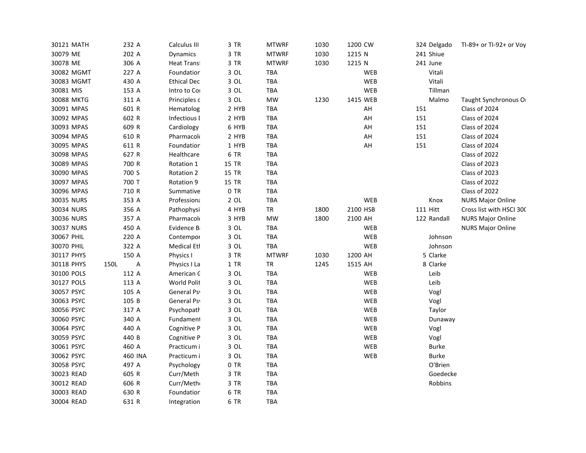| 30121 MATH | 232 A               | Calculus III       | 3 TR   | <b>MTWRF</b> | 1030 | 1200 CW    | 324 Delgado     | TI-89+ or TI-92+ or Voy  |
|------------|---------------------|--------------------|--------|--------------|------|------------|-----------------|--------------------------|
| 30079 ME   | 202 A               | Dynamics           | 3 TR   | <b>MTWRF</b> | 1030 | 1215 N     | 241 Shiue       |                          |
| 30078 ME   | 306 A               | Heat Trans         | 3 TR   | <b>MTWRF</b> | 1030 | 1215 N     | 241 June        |                          |
| 30082 MGMT | 227 A               | Foundation         | 3 OL   | TBA          |      | <b>WEB</b> | Vitali          |                          |
| 30083 MGMT | 430 A               | <b>Ethical Dec</b> | 3 OL   | <b>TBA</b>   |      | WEB        | Vitali          |                          |
| 30081 MIS  | 153 A               | Intro to Cor       | 3 OL   | TBA          |      | <b>WEB</b> | Tillman         |                          |
| 30088 MKTG | 311 A               | Principles c       | 3 OL   | MW           | 1230 | 1415 WEB   | Malmo           | Taught Synchronous O     |
| 30091 MPAS | 601 R               | Hematolog          | 2 HYB  | TBA          |      | AH         | 151             | Class of 2024            |
| 30092 MPAS | 602 R               | Infectious I       | 2 HYB  | TBA          |      | AH         | 151             | Class of 2024            |
| 30093 MPAS | 609 R               | Cardiology         | 6 HYB  | <b>TBA</b>   |      | AH         | 151             | Class of 2024            |
| 30094 MPAS | 610 R               | Pharmacolo         | 2 HYB  | TBA          |      | AH         | 151             | Class of 2024            |
| 30095 MPAS | 611 R               | Foundation         | 1 HYB  | TBA          |      | AH         | 151             | Class of 2024            |
| 30098 MPAS | 627 R               | Healthcare         | 6 TR   | <b>TBA</b>   |      |            |                 | Class of 2022            |
| 30089 MPAS | 700 R               | Rotation 1         | 15 TR  | <b>TBA</b>   |      |            |                 | Class of 2023            |
| 30090 MPAS | 700 S               | Rotation 2         | 15 TR  | <b>TBA</b>   |      |            |                 | Class of 2023            |
| 30097 MPAS | 700 T               | Rotation 9         | 15 TR  | TBA          |      |            |                 | Class of 2022            |
| 30096 MPAS | 710 R               | Summative          | 0 TR   | <b>TBA</b>   |      |            |                 | Class of 2022            |
| 30035 NURS | 353 A               | Professiona        | $2$ OL | TBA          |      | WEB        | Knox            | <b>NURS Major Online</b> |
| 30034 NURS | 356 A               | Pathophysi         | 4 HYB  | <b>TR</b>    | 1800 | 2100 HSB   | <b>111 Hitt</b> | Cross list with HSCI 300 |
| 30036 NURS | 357 A               | Pharmacolo         | 3 HYB  | MW           | 1800 | 2100 AH    | 122 Randall     | <b>NURS Major Online</b> |
| 30037 NURS | 450 A               | Evidence B         | $3$ OL | TBA          |      | WEB        |                 | <b>NURS Major Online</b> |
| 30067 PHIL | 220 A               | Contempor          | $3$ OL | TBA          |      | WEB        | Johnson         |                          |
| 30070 PHIL | 322 A               | <b>Medical Etl</b> | 3 OL   | TBA          |      | WEB        | Johnson         |                          |
| 30117 PHYS | 150 A               | Physics I          | 3 TR   | <b>MTWRF</b> | 1030 | 1200 AH    | 5 Clarke        |                          |
| 30118 PHYS | $\mathsf A$<br>150L | Physics I La       | 1 TR   | <b>TR</b>    | 1245 | 1515 AH    | 8 Clarke        |                          |
| 30100 POLS | 112 A               | American C         | 3 OL   | TBA          |      | WEB        | Leib            |                          |
| 30127 POLS | 113 A               | World Polit        | 3 OL   | TBA          |      | WEB        | Leib            |                          |
| 30057 PSYC | 105 A               | General Psy        | 3 OL   | TBA          |      | WEB        | Vogl            |                          |
| 30063 PSYC | 105 B               | General Psy        | 3 OL   | TBA          |      | WEB        | Vogl            |                          |
| 30056 PSYC | 317 A               | Psychopath         | 3 OL   | TBA          |      | WEB        | Taylor          |                          |
| 30060 PSYC | 340 A               | Fundament          | 3 OL   | <b>TBA</b>   |      | WEB        | Dunaway         |                          |
| 30064 PSYC | 440 A               | Cognitive P        | $3$ OL | TBA          |      | WEB        | Vogl            |                          |
| 30059 PSYC | 440 B               | Cognitive P        | $3$ OL | TBA          |      | WEB        | Vogl            |                          |
| 30061 PSYC | 460 A               | Practicum i        | $3$ OL | TBA          |      | WEB        | Burke           |                          |
| 30062 PSYC | 460 INA             | Practicum i        | 3 OL   | TBA          |      | WEB        | <b>Burke</b>    |                          |
| 30058 PSYC | 497 A               | Psychology         | 0 TR   | TBA          |      |            | O'Brien         |                          |
| 30023 READ | 605 R               | Curr/Meth          | 3 TR   | <b>TBA</b>   |      |            | Goedecke        |                          |
| 30012 READ | 606 R               | Curr/Meth          | 3 TR   | <b>TBA</b>   |      |            | Robbins         |                          |
| 30003 READ | 630 R               | Foundation         | 6 TR   | <b>TBA</b>   |      |            |                 |                          |
| 30004 READ | 631 R               | Integration        | 6 TR   | <b>TBA</b>   |      |            |                 |                          |